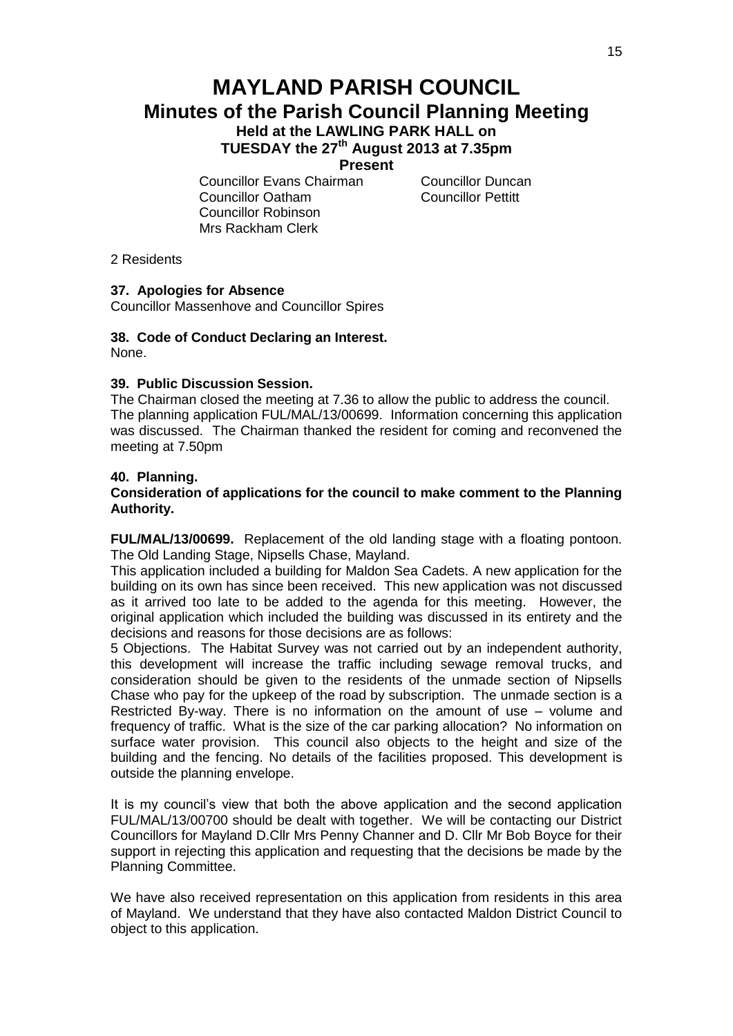# **MAYLAND PARISH COUNCIL Minutes of the Parish Council Planning Meeting Held at the LAWLING PARK HALL on**

**TUESDAY the 27th August 2013 at 7.35pm**

**Present**

Councillor Evans Chairman Councillor Duncan Councillor Oatham Councillor Pettitt Councillor Robinson Mrs Rackham Clerk

2 Residents

# **37. Apologies for Absence**

Councillor Massenhove and Councillor Spires

#### **38. Code of Conduct Declaring an Interest.** None.

# **39. Public Discussion Session.**

The Chairman closed the meeting at 7.36 to allow the public to address the council. The planning application FUL/MAL/13/00699. Information concerning this application was discussed. The Chairman thanked the resident for coming and reconvened the meeting at 7.50pm

### **40. Planning.**

#### **Consideration of applications for the council to make comment to the Planning Authority.**

**FUL/MAL/13/00699.** Replacement of the old landing stage with a floating pontoon. The Old Landing Stage, Nipsells Chase, Mayland.

This application included a building for Maldon Sea Cadets. A new application for the building on its own has since been received. This new application was not discussed as it arrived too late to be added to the agenda for this meeting. However, the original application which included the building was discussed in its entirety and the decisions and reasons for those decisions are as follows:

5 Objections. The Habitat Survey was not carried out by an independent authority, this development will increase the traffic including sewage removal trucks, and consideration should be given to the residents of the unmade section of Nipsells Chase who pay for the upkeep of the road by subscription. The unmade section is a Restricted By-way. There is no information on the amount of use – volume and frequency of traffic. What is the size of the car parking allocation? No information on surface water provision. This council also objects to the height and size of the building and the fencing. No details of the facilities proposed. This development is outside the planning envelope.

It is my council's view that both the above application and the second application FUL/MAL/13/00700 should be dealt with together. We will be contacting our District Councillors for Mayland D.Cllr Mrs Penny Channer and D. Cllr Mr Bob Boyce for their support in rejecting this application and requesting that the decisions be made by the Planning Committee.

We have also received representation on this application from residents in this area of Mayland. We understand that they have also contacted Maldon District Council to object to this application.